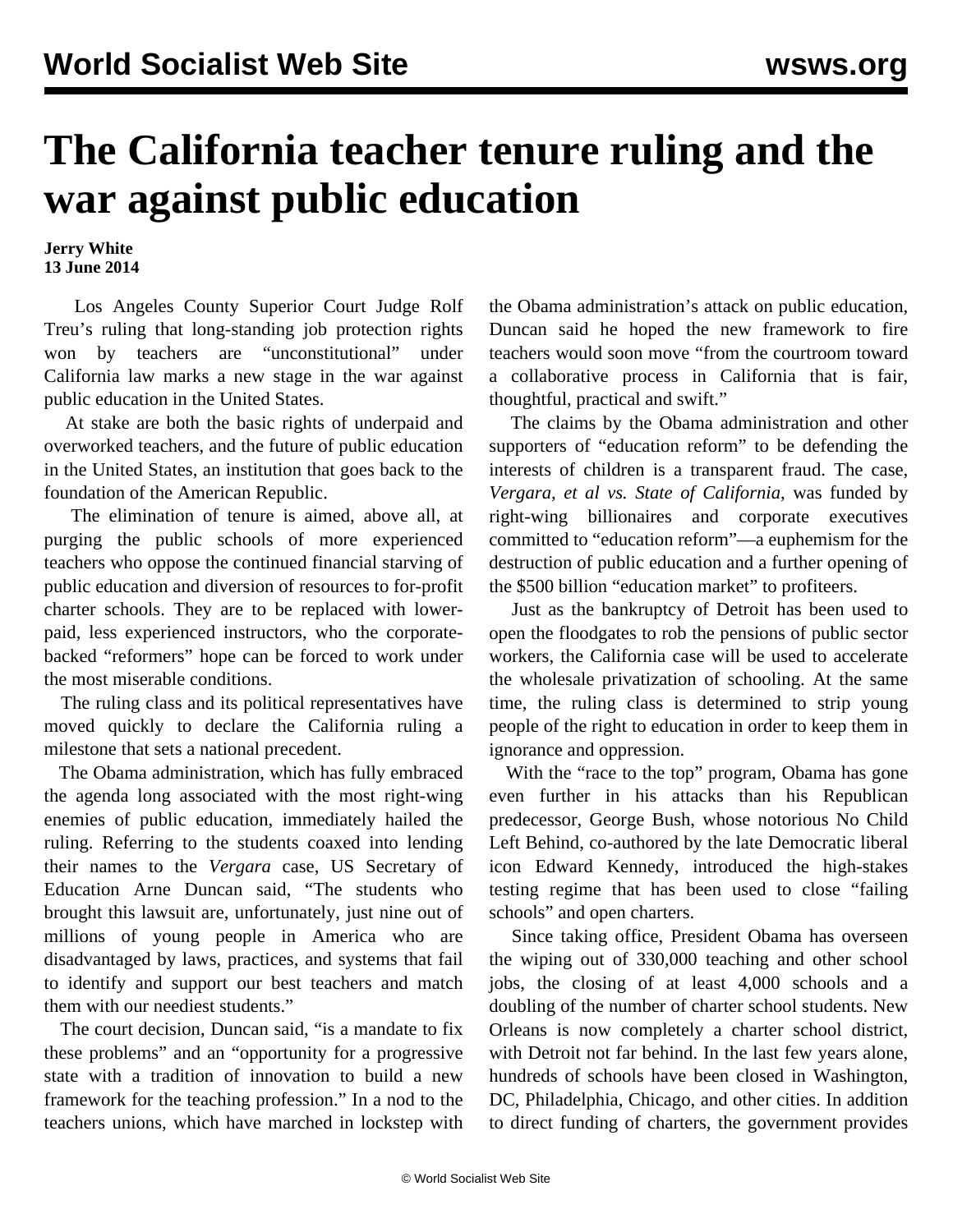## **The California teacher tenure ruling and the war against public education**

**Jerry White 13 June 2014**

 Los Angeles County Superior Court Judge Rolf Treu's ruling that long-standing job protection rights won by teachers are "unconstitutional" under California law marks a new stage in the war against public education in the United States.

 At stake are both the basic rights of underpaid and overworked teachers, and the future of public education in the United States, an institution that goes back to the foundation of the American Republic.

 The elimination of tenure is aimed, above all, at purging the public schools of more experienced teachers who oppose the continued financial starving of public education and diversion of resources to for-profit charter schools. They are to be replaced with lowerpaid, less experienced instructors, who the corporatebacked "reformers" hope can be forced to work under the most miserable conditions.

 The ruling class and its political representatives have moved quickly to declare the California ruling a milestone that sets a national precedent.

 The Obama administration, which has fully embraced the agenda long associated with the most right-wing enemies of public education, immediately hailed the ruling. Referring to the students coaxed into lending their names to the *Vergara* case, US Secretary of Education Arne Duncan said, "The students who brought this lawsuit are, unfortunately, just nine out of millions of young people in America who are disadvantaged by laws, practices, and systems that fail to identify and support our best teachers and match them with our neediest students."

 The court decision, Duncan said, "is a mandate to fix these problems" and an "opportunity for a progressive state with a tradition of innovation to build a new framework for the teaching profession." In a nod to the teachers unions, which have marched in lockstep with

the Obama administration's attack on public education, Duncan said he hoped the new framework to fire teachers would soon move "from the courtroom toward a collaborative process in California that is fair, thoughtful, practical and swift."

 The claims by the Obama administration and other supporters of "education reform" to be defending the interests of children is a transparent fraud. The case, *Vergara, et al vs. State of California*, was funded by right-wing billionaires and corporate executives committed to "education reform"—a euphemism for the destruction of public education and a further opening of the \$500 billion "education market" to profiteers.

 Just as the bankruptcy of Detroit has been used to open the floodgates to rob the pensions of public sector workers, the California case will be used to accelerate the wholesale privatization of schooling. At the same time, the ruling class is determined to strip young people of the right to education in order to keep them in ignorance and oppression.

 With the "race to the top" program, Obama has gone even further in his attacks than his Republican predecessor, George Bush, whose notorious No Child Left Behind, co-authored by the late Democratic liberal icon Edward Kennedy, introduced the high-stakes testing regime that has been used to close "failing schools" and open charters.

 Since taking office, President Obama has overseen the wiping out of 330,000 teaching and other school jobs, the closing of at least 4,000 schools and a doubling of the number of charter school students. New Orleans is now completely a charter school district, with Detroit not far behind. In the last few years alone, hundreds of schools have been closed in Washington, DC, Philadelphia, Chicago, and other cities. In addition to direct funding of charters, the government provides